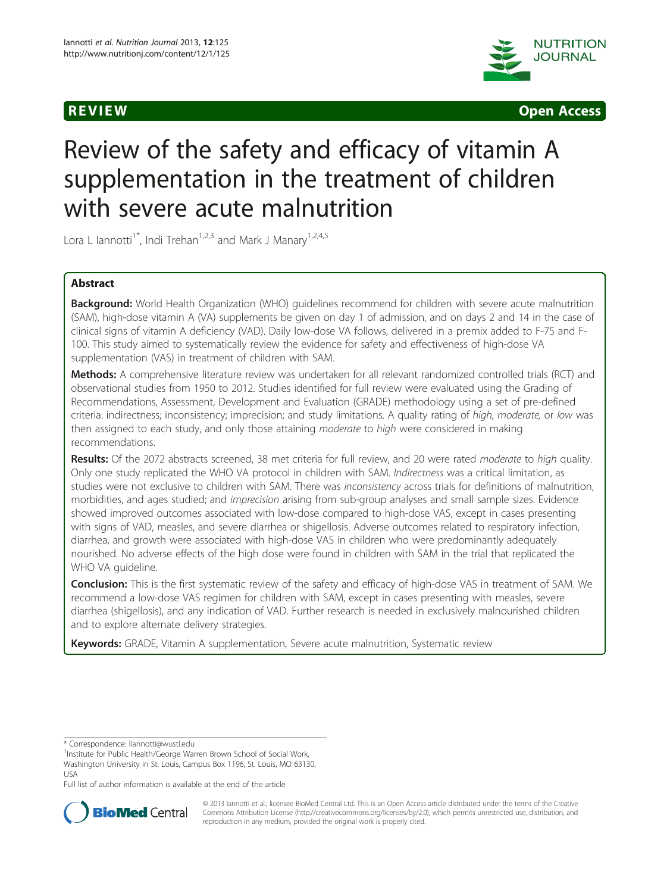



# Review of the safety and efficacy of vitamin A supplementation in the treatment of children with severe acute malnutrition

Lora L Iannotti<sup>1\*</sup>, Indi Trehan<sup>1,2,3</sup> and Mark J Manary<sup>1,2,4,5</sup>

# Abstract

Background: World Health Organization (WHO) guidelines recommend for children with severe acute malnutrition (SAM), high-dose vitamin A (VA) supplements be given on day 1 of admission, and on days 2 and 14 in the case of clinical signs of vitamin A deficiency (VAD). Daily low-dose VA follows, delivered in a premix added to F-75 and F-100. This study aimed to systematically review the evidence for safety and effectiveness of high-dose VA supplementation (VAS) in treatment of children with SAM.

Methods: A comprehensive literature review was undertaken for all relevant randomized controlled trials (RCT) and observational studies from 1950 to 2012. Studies identified for full review were evaluated using the Grading of Recommendations, Assessment, Development and Evaluation (GRADE) methodology using a set of pre-defined criteria: indirectness; inconsistency; imprecision; and study limitations. A quality rating of high, moderate, or low was then assigned to each study, and only those attaining moderate to high were considered in making recommendations.

Results: Of the 2072 abstracts screened, 38 met criteria for full review, and 20 were rated moderate to high quality. Only one study replicated the WHO VA protocol in children with SAM. Indirectness was a critical limitation, as studies were not exclusive to children with SAM. There was inconsistency across trials for definitions of malnutrition, morbidities, and ages studied; and imprecision arising from sub-group analyses and small sample sizes. Evidence showed improved outcomes associated with low-dose compared to high-dose VAS, except in cases presenting with signs of VAD, measles, and severe diarrhea or shigellosis. Adverse outcomes related to respiratory infection, diarrhea, and growth were associated with high-dose VAS in children who were predominantly adequately nourished. No adverse effects of the high dose were found in children with SAM in the trial that replicated the WHO VA guideline.

Conclusion: This is the first systematic review of the safety and efficacy of high-dose VAS in treatment of SAM. We recommend a low-dose VAS regimen for children with SAM, except in cases presenting with measles, severe diarrhea (shigellosis), and any indication of VAD. Further research is needed in exclusively malnourished children and to explore alternate delivery strategies.

Keywords: GRADE, Vitamin A supplementation, Severe acute malnutrition, Systematic review

<sup>1</sup>Institute for Public Health/George Warren Brown School of Social Work, Washington University in St. Louis, Campus Box 1196, St. Louis, MO 63130, USA

Full list of author information is available at the end of the article



© 2013 Iannotti et al.; licensee BioMed Central Ltd. This is an Open Access article distributed under the terms of the Creative Commons Attribution License [\(http://creativecommons.org/licenses/by/2.0\)](http://creativecommons.org/licenses/by/2.0), which permits unrestricted use, distribution, and reproduction in any medium, provided the original work is properly cited.

<sup>\*</sup> Correspondence: [liannotti@wustl.edu](mailto:liannotti@wustl.edu) <sup>1</sup>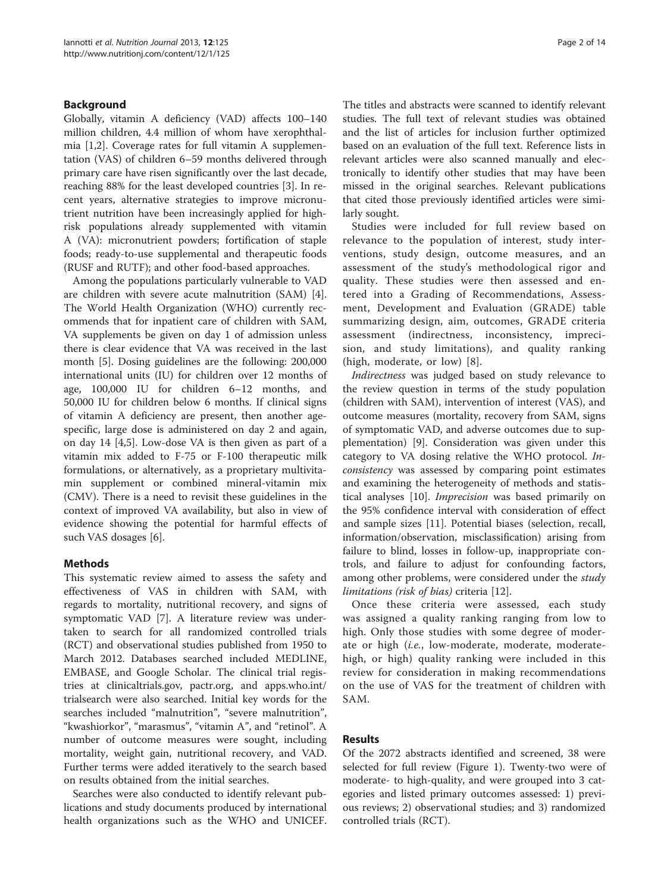# Background

Globally, vitamin A deficiency (VAD) affects 100–140 million children, 4.4 million of whom have xerophthalmia [[1,2\]](#page-12-0). Coverage rates for full vitamin A supplementation (VAS) of children 6–59 months delivered through primary care have risen significantly over the last decade, reaching 88% for the least developed countries [\[3\]](#page-12-0). In recent years, alternative strategies to improve micronutrient nutrition have been increasingly applied for highrisk populations already supplemented with vitamin A (VA): micronutrient powders; fortification of staple foods; ready-to-use supplemental and therapeutic foods (RUSF and RUTF); and other food-based approaches.

Among the populations particularly vulnerable to VAD are children with severe acute malnutrition (SAM) [\[4](#page-12-0)]. The World Health Organization (WHO) currently recommends that for inpatient care of children with SAM, VA supplements be given on day 1 of admission unless there is clear evidence that VA was received in the last month [[5\]](#page-12-0). Dosing guidelines are the following: 200,000 international units (IU) for children over 12 months of age, 100,000 IU for children 6–12 months, and 50,000 IU for children below 6 months. If clinical signs of vitamin A deficiency are present, then another agespecific, large dose is administered on day 2 and again, on day 14 [\[4,5](#page-12-0)]. Low-dose VA is then given as part of a vitamin mix added to F-75 or F-100 therapeutic milk formulations, or alternatively, as a proprietary multivitamin supplement or combined mineral-vitamin mix (CMV). There is a need to revisit these guidelines in the context of improved VA availability, but also in view of evidence showing the potential for harmful effects of such VAS dosages [\[6](#page-13-0)].

## Methods

This systematic review aimed to assess the safety and effectiveness of VAS in children with SAM, with regards to mortality, nutritional recovery, and signs of symptomatic VAD [\[7](#page-13-0)]. A literature review was undertaken to search for all randomized controlled trials (RCT) and observational studies published from 1950 to March 2012. Databases searched included MEDLINE, EMBASE, and Google Scholar. The clinical trial registries at clinicaltrials.gov, pactr.org, and apps.who.int/ trialsearch were also searched. Initial key words for the searches included "malnutrition", "severe malnutrition", "kwashiorkor", "marasmus", "vitamin A", and "retinol". A number of outcome measures were sought, including mortality, weight gain, nutritional recovery, and VAD. Further terms were added iteratively to the search based on results obtained from the initial searches.

Searches were also conducted to identify relevant publications and study documents produced by international health organizations such as the WHO and UNICEF. The titles and abstracts were scanned to identify relevant studies. The full text of relevant studies was obtained and the list of articles for inclusion further optimized based on an evaluation of the full text. Reference lists in relevant articles were also scanned manually and electronically to identify other studies that may have been missed in the original searches. Relevant publications that cited those previously identified articles were similarly sought.

Studies were included for full review based on relevance to the population of interest, study interventions, study design, outcome measures, and an assessment of the study's methodological rigor and quality. These studies were then assessed and entered into a Grading of Recommendations, Assessment, Development and Evaluation (GRADE) table summarizing design, aim, outcomes, GRADE criteria assessment (indirectness, inconsistency, imprecision, and study limitations), and quality ranking (high, moderate, or low) [[8](#page-13-0)].

Indirectness was judged based on study relevance to the review question in terms of the study population (children with SAM), intervention of interest (VAS), and outcome measures (mortality, recovery from SAM, signs of symptomatic VAD, and adverse outcomes due to supplementation) [\[9\]](#page-13-0). Consideration was given under this category to VA dosing relative the WHO protocol. Inconsistency was assessed by comparing point estimates and examining the heterogeneity of methods and statistical analyses [\[10](#page-13-0)]. Imprecision was based primarily on the 95% confidence interval with consideration of effect and sample sizes [[11\]](#page-13-0). Potential biases (selection, recall, information/observation, misclassification) arising from failure to blind, losses in follow-up, inappropriate controls, and failure to adjust for confounding factors, among other problems, were considered under the *study* limitations (risk of bias) criteria [[12\]](#page-13-0).

Once these criteria were assessed, each study was assigned a quality ranking ranging from low to high. Only those studies with some degree of moderate or high (i.e., low-moderate, moderate, moderatehigh, or high) quality ranking were included in this review for consideration in making recommendations on the use of VAS for the treatment of children with SAM.

## Results

Of the 2072 abstracts identified and screened, 38 were selected for full review (Figure [1\)](#page-2-0). Twenty-two were of moderate- to high-quality, and were grouped into 3 categories and listed primary outcomes assessed: 1) previous reviews; 2) observational studies; and 3) randomized controlled trials (RCT).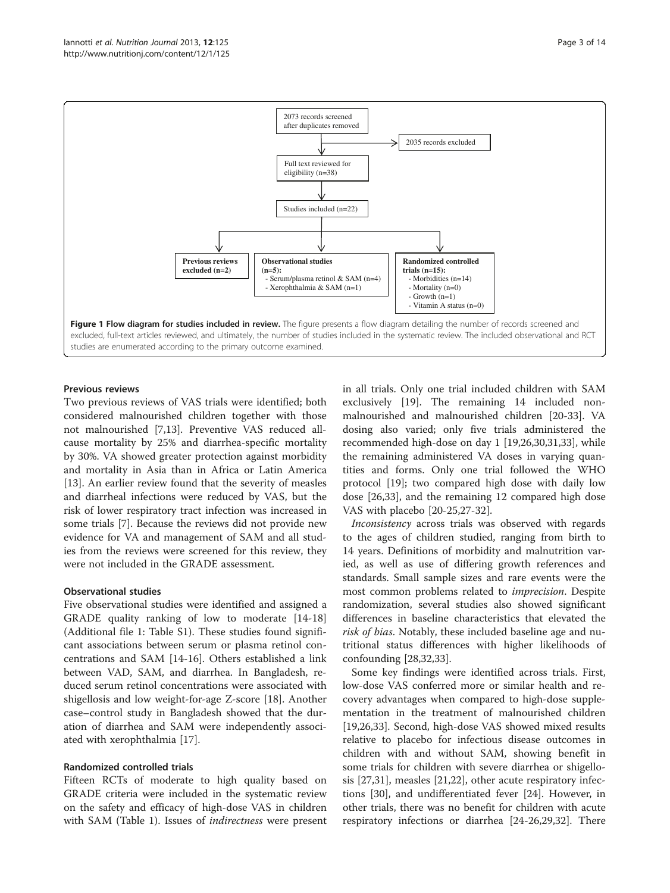<span id="page-2-0"></span>

# Previous reviews

Two previous reviews of VAS trials were identified; both considered malnourished children together with those not malnourished [\[7](#page-13-0),[13](#page-13-0)]. Preventive VAS reduced allcause mortality by 25% and diarrhea-specific mortality by 30%. VA showed greater protection against morbidity and mortality in Asia than in Africa or Latin America [[13\]](#page-13-0). An earlier review found that the severity of measles and diarrheal infections were reduced by VAS, but the risk of lower respiratory tract infection was increased in some trials [[7\]](#page-13-0). Because the reviews did not provide new evidence for VA and management of SAM and all studies from the reviews were screened for this review, they were not included in the GRADE assessment.

## Observational studies

Five observational studies were identified and assigned a GRADE quality ranking of low to moderate [\[14-18](#page-13-0)] (Additional file [1:](#page-12-0) Table S1). These studies found significant associations between serum or plasma retinol concentrations and SAM [[14](#page-13-0)-[16\]](#page-13-0). Others established a link between VAD, SAM, and diarrhea. In Bangladesh, reduced serum retinol concentrations were associated with shigellosis and low weight-for-age Z-score [[18\]](#page-13-0). Another case–control study in Bangladesh showed that the duration of diarrhea and SAM were independently associated with xerophthalmia [[17\]](#page-13-0).

# Randomized controlled trials

Fifteen RCTs of moderate to high quality based on GRADE criteria were included in the systematic review on the safety and efficacy of high-dose VAS in children with SAM (Table [1](#page-3-0)). Issues of indirectness were present in all trials. Only one trial included children with SAM exclusively [[19\]](#page-13-0). The remaining 14 included nonmalnourished and malnourished children [\[20](#page-13-0)-[33\]](#page-13-0). VA dosing also varied; only five trials administered the recommended high-dose on day 1 [[19,26,30,31,33\]](#page-13-0), while the remaining administered VA doses in varying quantities and forms. Only one trial followed the WHO protocol [[19\]](#page-13-0); two compared high dose with daily low dose [[26,33\]](#page-13-0), and the remaining 12 compared high dose VAS with placebo [[20-25,27](#page-13-0)-[32](#page-13-0)].

Inconsistency across trials was observed with regards to the ages of children studied, ranging from birth to 14 years. Definitions of morbidity and malnutrition varied, as well as use of differing growth references and standards. Small sample sizes and rare events were the most common problems related to imprecision. Despite randomization, several studies also showed significant differences in baseline characteristics that elevated the risk of bias. Notably, these included baseline age and nutritional status differences with higher likelihoods of confounding [\[28,32,33](#page-13-0)].

Some key findings were identified across trials. First, low-dose VAS conferred more or similar health and recovery advantages when compared to high-dose supplementation in the treatment of malnourished children [[19,26,33\]](#page-13-0). Second, high-dose VAS showed mixed results relative to placebo for infectious disease outcomes in children with and without SAM, showing benefit in some trials for children with severe diarrhea or shigellosis [[27,31\]](#page-13-0), measles [[21,22\]](#page-13-0), other acute respiratory infections [\[30](#page-13-0)], and undifferentiated fever [[24](#page-13-0)]. However, in other trials, there was no benefit for children with acute respiratory infections or diarrhea [\[24](#page-13-0)-[26,29,32](#page-13-0)]. There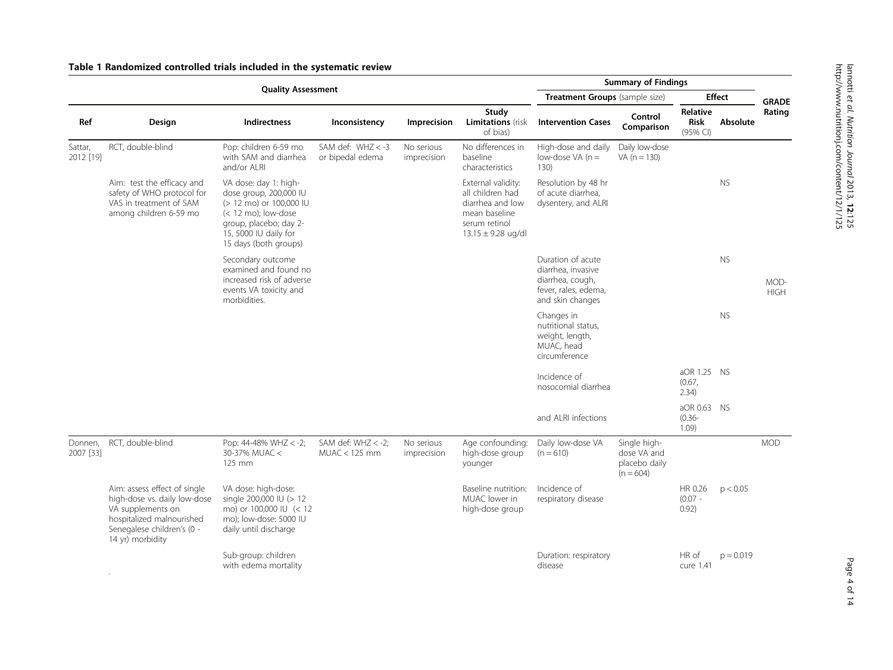<span id="page-3-0"></span>

| Table 1 Randomized controlled trials included in the systematic review |  |  |
|------------------------------------------------------------------------|--|--|
|------------------------------------------------------------------------|--|--|

| <b>Quality Assessment</b> |                                                                                                                                                                  |                                                                                                                                                                                 |                                          |                           |                                                                                                                        | <b>Summary of Findings</b>                                                                              |                                                             |                                            |              |                     |
|---------------------------|------------------------------------------------------------------------------------------------------------------------------------------------------------------|---------------------------------------------------------------------------------------------------------------------------------------------------------------------------------|------------------------------------------|---------------------------|------------------------------------------------------------------------------------------------------------------------|---------------------------------------------------------------------------------------------------------|-------------------------------------------------------------|--------------------------------------------|--------------|---------------------|
|                           |                                                                                                                                                                  |                                                                                                                                                                                 |                                          |                           | Treatment Groups (sample size)                                                                                         |                                                                                                         |                                                             | <b>Effect</b>                              | <b>GRADE</b> |                     |
| Ref                       | Design                                                                                                                                                           | Indirectness                                                                                                                                                                    | Inconsistency                            | Imprecision               | Study<br><b>Limitations</b> (risk<br>of bias)                                                                          | <b>Intervention Cases</b>                                                                               | Control<br>Comparison                                       | <b>Relative</b><br><b>Risk</b><br>(95% CI) | Absolute     | Rating              |
| Sattar,<br>2012 [19]      | RCT, double-blind                                                                                                                                                | Pop: children 6-59 mo<br>with SAM and diarrhea<br>and/or ALRI                                                                                                                   | SAM def: $WHZ < -3$<br>or bipedal edema  | No serious<br>imprecision | No differences in<br>baseline<br>characteristics                                                                       | High-dose and daily<br>low-dose VA $(n=$<br>130)                                                        | Daily low-dose<br>VA $(n = 130)$                            |                                            |              |                     |
|                           | Aim: test the efficacy and<br>safety of WHO protocol for<br>VAS in treatment of SAM<br>among children 6-59 mo                                                    | VA dose: day 1: high-<br>dose group, 200,000 IU<br>(> 12 mo) or 100,000 IU<br>$(< 12$ mo); low-dose<br>group, placebo; day 2-<br>15, 5000 IU daily for<br>15 days (both groups) |                                          |                           | External validity:<br>all children had<br>diarrhea and low<br>mean baseline<br>serum retinol<br>$13.15 \pm 9.28$ ug/dl | Resolution by 48 hr<br>of acute diarrhea,<br>dysentery, and ALRI                                        |                                                             |                                            | <b>NS</b>    |                     |
|                           |                                                                                                                                                                  | Secondary outcome<br>examined and found no<br>increased risk of adverse<br>events VA toxicity and<br>morbidities.                                                               |                                          |                           |                                                                                                                        | Duration of acute<br>diarrhea, invasive<br>diarrhea, cough,<br>fever, rales, edema,<br>and skin changes |                                                             |                                            | <b>NS</b>    | MOD-<br><b>HIGH</b> |
|                           |                                                                                                                                                                  |                                                                                                                                                                                 |                                          |                           |                                                                                                                        | Changes in<br>nutritional status,<br>weight, length,<br>MUAC, head<br>circumference                     |                                                             |                                            | <b>NS</b>    |                     |
|                           |                                                                                                                                                                  |                                                                                                                                                                                 |                                          |                           |                                                                                                                        | Incidence of<br>nosocomial diarrhea                                                                     |                                                             | aOR 1.25 NS<br>(0.67,<br>2.34)             |              |                     |
|                           |                                                                                                                                                                  |                                                                                                                                                                                 |                                          |                           |                                                                                                                        | and ALRI infections                                                                                     |                                                             | aOR 0.63 NS<br>$(0.36 -$<br>1.09           |              |                     |
| Donnen,<br>2007 [33]      | RCT, double-blind                                                                                                                                                | Pop: 44-48% WHZ < -2;<br>30-37% MUAC <<br>125 mm                                                                                                                                | SAM def: $WHZ < -2$ :<br>$MUAC < 125$ mm | No serious<br>imprecision | Age confounding:<br>high-dose group<br>younger                                                                         | Daily low-dose VA<br>$(n = 610)$                                                                        | Single high-<br>dose VA and<br>placebo daily<br>$(n = 604)$ |                                            |              | <b>MOD</b>          |
|                           | Aim: assess effect of single<br>high-dose vs. daily low-dose<br>VA supplements on<br>hospitalized malnourished<br>Senegalese children's (0 -<br>14 yr) morbidity | VA dose: high-dose:<br>single 200,000 IU (> 12<br>mo) or 100,000 IU (< 12<br>mo); low-dose: 5000 IU<br>daily until discharge                                                    |                                          |                           | Baseline nutrition:<br>MUAC lower in<br>high-dose group                                                                | Incidence of<br>respiratory disease                                                                     |                                                             | HR 0.26<br>$(0.07 -$<br>0.92)              | p < 0.05     |                     |
|                           |                                                                                                                                                                  | Sub-group: children<br>with edema mortality                                                                                                                                     |                                          |                           |                                                                                                                        | Duration: respiratory<br>disease                                                                        |                                                             | HR of<br>cure 1.41                         | $p = 0.019$  |                     |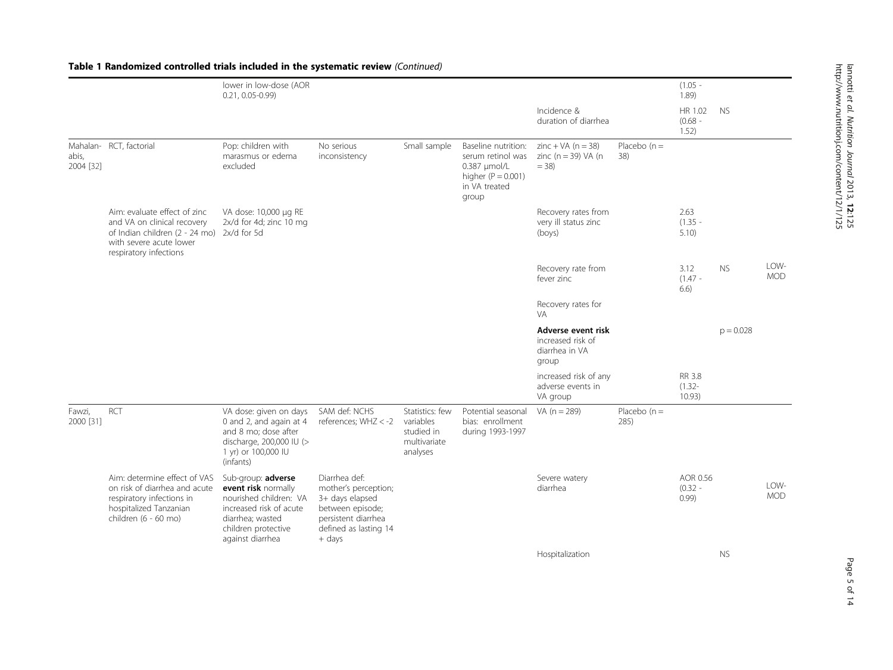| http://www.nutritionj.com/content/12/1/125 | landi et al. Nutilon Journal 2013, 12:125 |
|--------------------------------------------|-------------------------------------------|
|                                            |                                           |
|                                            |                                           |
|                                            |                                           |
|                                            |                                           |
|                                            |                                           |
|                                            |                                           |
|                                            |                                           |
|                                            |                                           |
|                                            |                                           |
|                                            |                                           |
|                                            |                                           |
|                                            |                                           |
|                                            |                                           |

Table 1 Randomized controlled trials included in the systematic review (Continued)

|                     |                                                                                                                                                                | lower in low-dose (AOR<br>$0.21, 0.05 - 0.99$                                                                                                                 |                                                                                                                                        |                                                                        |                                                                                                              |                                                                     |                        | $(1.05 -$<br>1.89             |             |                    |
|---------------------|----------------------------------------------------------------------------------------------------------------------------------------------------------------|---------------------------------------------------------------------------------------------------------------------------------------------------------------|----------------------------------------------------------------------------------------------------------------------------------------|------------------------------------------------------------------------|--------------------------------------------------------------------------------------------------------------|---------------------------------------------------------------------|------------------------|-------------------------------|-------------|--------------------|
|                     |                                                                                                                                                                |                                                                                                                                                               |                                                                                                                                        |                                                                        |                                                                                                              | Incidence &<br>duration of diarrhea                                 |                        | HR 1.02<br>$(0.68 -$<br>1.52) | <b>NS</b>   |                    |
| abis,<br>2004 [32]  | Mahalan- RCT, factorial                                                                                                                                        | Pop: children with<br>marasmus or edema<br>excluded                                                                                                           | No serious<br>inconsistency                                                                                                            | Small sample                                                           | Baseline nutrition:<br>serum retinol was<br>0.387 umol/L<br>higher ( $P = 0.001$ )<br>in VA treated<br>group | zinc + $VA$ (n = 38)<br>zinc ( $n = 39$ ) VA ( $n = 39$ )<br>$= 38$ | Placebo $(n =$<br>38)  |                               |             |                    |
|                     | Aim: evaluate effect of zinc<br>and VA on clinical recovery<br>of Indian children (2 - 24 mo) 2x/d for 5d<br>with severe acute lower<br>respiratory infections | VA dose: 10,000 µg RE<br>2x/d for 4d; zinc 10 mg                                                                                                              |                                                                                                                                        |                                                                        |                                                                                                              | Recovery rates from<br>very ill status zinc<br>(bovs)               |                        | 2.63<br>$(1.35 -$<br>5.10     |             |                    |
|                     |                                                                                                                                                                |                                                                                                                                                               |                                                                                                                                        |                                                                        |                                                                                                              | Recovery rate from<br>fever zinc                                    |                        | 3.12<br>$(1.47 -$<br>6.6)     | <b>NS</b>   | LOW-<br><b>MOD</b> |
|                     |                                                                                                                                                                |                                                                                                                                                               |                                                                                                                                        |                                                                        |                                                                                                              | Recovery rates for<br><b>VA</b>                                     |                        |                               |             |                    |
|                     |                                                                                                                                                                |                                                                                                                                                               |                                                                                                                                        |                                                                        |                                                                                                              | Adverse event risk<br>increased risk of<br>diarrhea in VA<br>group  |                        |                               | $p = 0.028$ |                    |
|                     |                                                                                                                                                                |                                                                                                                                                               |                                                                                                                                        |                                                                        |                                                                                                              | increased risk of any<br>adverse events in<br>VA group              |                        | RR 3.8<br>$(1.32 -$<br>10.93) |             |                    |
| Fawzi,<br>2000 [31] | <b>RCT</b>                                                                                                                                                     | VA dose: given on days<br>0 and 2, and again at 4<br>and 8 mo; dose after<br>discharge, 200,000 IU (><br>1 yr) or 100,000 IU<br>(infants)                     | SAM def: NCHS<br>references; WHZ < -2                                                                                                  | Statistics: few<br>variables<br>studied in<br>multivariate<br>analyses | Potential seasonal<br>bias: enrollment<br>during 1993-1997                                                   | VA $(n = 289)$                                                      | Placebo $(n =$<br>285) |                               |             |                    |
|                     | Aim: determine effect of VAS<br>on risk of diarrhea and acute<br>respiratory infections in<br>hospitalized Tanzanian<br>children (6 - 60 mo)                   | Sub-group: adverse<br>event risk normally<br>nourished children: VA<br>increased risk of acute<br>diarrhea; wasted<br>children protective<br>against diarrhea | Diarrhea def:<br>mother's perception;<br>3+ days elapsed<br>between episode;<br>persistent diarrhea<br>defined as lasting 14<br>+ days |                                                                        |                                                                                                              | Severe watery<br>diarrhea                                           |                        | AOR 0.56<br>$(0.32 -$<br>0.99 |             | LOW-<br><b>MOD</b> |
|                     |                                                                                                                                                                |                                                                                                                                                               |                                                                                                                                        |                                                                        |                                                                                                              | Hospitalization                                                     |                        |                               | <b>NS</b>   |                    |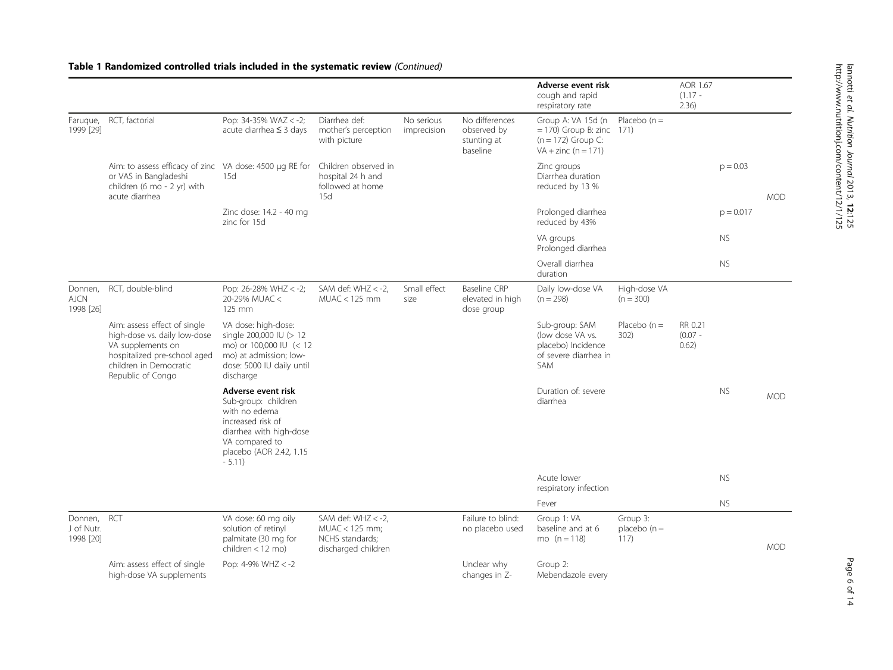#### Adverse event risk cough and rapid respiratory rate AOR 1.67  $(1.17 -$ 2.36) Faruque, RCT, factorial 1999 [[29](#page-13-0)] Pop:  $34-35%$  WAZ  $< -2$ ; acute diarrhea ≤ 3 days Diarrhea def: mother's perception with picture No serious imprecision No differences observed by stunting at baseline Group A: VA 15d (n Placebo (n = = 170) Group B: zinc 171)  $(n = 172)$  Group C: VA + zinc ( $n = 171$ ) MOD Aim: to assess efficacy of zinc VA dose: 4500 μg RE for Children observed in or VAS in Bangladeshi children (6 mo - 2 yr) with acute diarrhea 15d hospital 24 h and followed at home 15d Zinc groups Diarrhea duration reduced by 13 %  $p = 0.03$ Zinc dose: 14.2 - 40 mg zinc for 15d Prolonged diarrhea reduced by 43%  $p = 0.017$ VA groups Prolonged diarrhea NS Overall diarrhea duration  $N<sub>S</sub>$ Donnen, RCT, double-blind AJCN 1998 [[26](#page-13-0)] Pop:  $26-28\%$  WHZ  $<-2$ ; 20-29% MUAC < 125 mm SAM def:  $WHZ < -2$ . MUAC < 125 mm Small effect size Baseline CRP elevated in high dose group Daily low-dose VA  $(n = 298)$ High-dose VA  $(n = 300)$ MOD Aim: assess effect of single high-dose vs. daily low-dose VA supplements on hospitalized pre-school aged children in Democratic Republic of Congo VA dose: high-dose: single 200,000 IU (> 12 mo) or 100,000 IU (< 12 mo) at admission; lowdose: 5000 IU daily until discharge Sub-group: SAM (low dose VA vs. placebo) Incidence of severe diarrhea in SAM Placebo  $(n =$ 302) RR 0.21  $(0.07 -$ 0.62) Adverse event risk Sub-group: children with no edema increased risk of diarrhea with high-dose VA compared to placebo (AOR 2.42, 1.15 - 5.11) Duration of: severe diarrhea NS Acute lower respiratory infection NS Fever NS Donnen, RCT J of Nutr. 1998 [[20](#page-13-0)] VA dose: 60 mg oily solution of retinyl palmitate (30 mg for children < 12 mo) SAM def:  $WHZ < -2$ , MUAC < 125 mm; NCHS standards; discharged children Failure to blind: no placebo used Group 1: VA baseline and at 6 mo  $(n = 118)$ Group 3: placebo  $(n =$ 117) MOD Aim: assess effect of single high-dose VA supplements Pop: 4-9% WHZ < -2 Unclear why changes in Z-Group 2: Mebendazole every

#### Table 1 Randomized controlled trials included in the systematic review (Continued)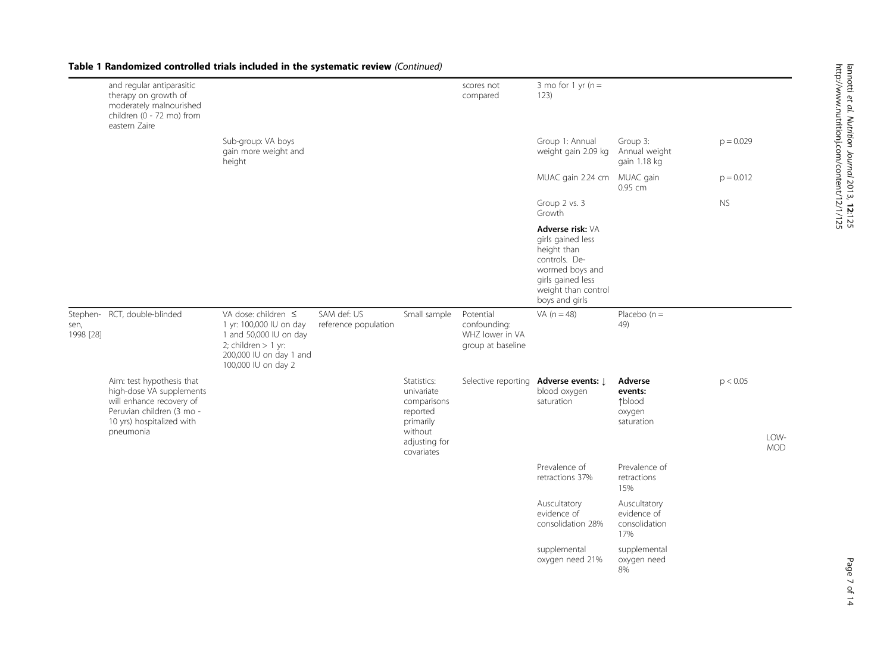|                   | and regular antiparasitic<br>therapy on growth of<br>moderately malnourished<br>children (0 - 72 mo) from<br>eastern Zaire                               |                                                                                                                                                          |                                     |                                                                                                             | scores not<br>compared                                            | 3 mo for 1 yr $(n =$<br>123)                                                                                                                           |                                                      |             |                    |
|-------------------|----------------------------------------------------------------------------------------------------------------------------------------------------------|----------------------------------------------------------------------------------------------------------------------------------------------------------|-------------------------------------|-------------------------------------------------------------------------------------------------------------|-------------------------------------------------------------------|--------------------------------------------------------------------------------------------------------------------------------------------------------|------------------------------------------------------|-------------|--------------------|
|                   |                                                                                                                                                          | Sub-group: VA boys<br>gain more weight and<br>height                                                                                                     |                                     |                                                                                                             |                                                                   | Group 1: Annual<br>weight gain 2.09 kg                                                                                                                 | Group 3:<br>Annual weight<br>gain 1.18 kg            | $p = 0.029$ |                    |
|                   |                                                                                                                                                          |                                                                                                                                                          |                                     |                                                                                                             |                                                                   | MUAC gain 2.24 cm MUAC gain                                                                                                                            | 0.95 cm                                              | $p = 0.012$ |                    |
|                   |                                                                                                                                                          |                                                                                                                                                          |                                     |                                                                                                             |                                                                   | Group 2 vs. 3<br>Growth                                                                                                                                |                                                      | <b>NS</b>   |                    |
|                   |                                                                                                                                                          |                                                                                                                                                          |                                     |                                                                                                             |                                                                   | Adverse risk: VA<br>girls gained less<br>height than<br>controls. De-<br>wormed boys and<br>girls gained less<br>weight than control<br>boys and girls |                                                      |             |                    |
| sen,<br>1998 [28] | Stephen- RCT, double-blinded                                                                                                                             | VA dose: children $\leq$<br>1 yr: 100,000 IU on day<br>1 and 50,000 IU on day<br>2; children $> 1$ yr:<br>200,000 IU on day 1 and<br>100,000 IU on day 2 | SAM def: US<br>reference population | Small sample                                                                                                | Potential<br>confounding:<br>WHZ lower in VA<br>group at baseline | VA $(n = 48)$                                                                                                                                          | Placebo $(n =$<br>49)                                |             |                    |
|                   | Aim: test hypothesis that<br>high-dose VA supplements<br>will enhance recovery of<br>Peruvian children (3 mo -<br>10 yrs) hospitalized with<br>pneumonia |                                                                                                                                                          |                                     | Statistics:<br>univariate<br>comparisons<br>reported<br>primarily<br>without<br>adjusting for<br>covariates | Selective reporting                                               | Adverse events: J<br>blood oxygen<br>saturation                                                                                                        | Adverse<br>events:<br>↑blood<br>oxygen<br>saturation | p < 0.05    | LOW-<br><b>MOD</b> |
|                   |                                                                                                                                                          |                                                                                                                                                          |                                     |                                                                                                             |                                                                   | Prevalence of<br>retractions 37%                                                                                                                       | Prevalence of<br>retractions<br>15%                  |             |                    |
|                   |                                                                                                                                                          |                                                                                                                                                          |                                     |                                                                                                             |                                                                   | Auscultatory<br>evidence of<br>consolidation 28%                                                                                                       | Auscultatory<br>evidence of<br>consolidation<br>17%  |             |                    |

supplemental oxygen need 21%

supplemental oxygen need 8%

# Table 1 Randomized controlled trials included in the systematic review (Continued)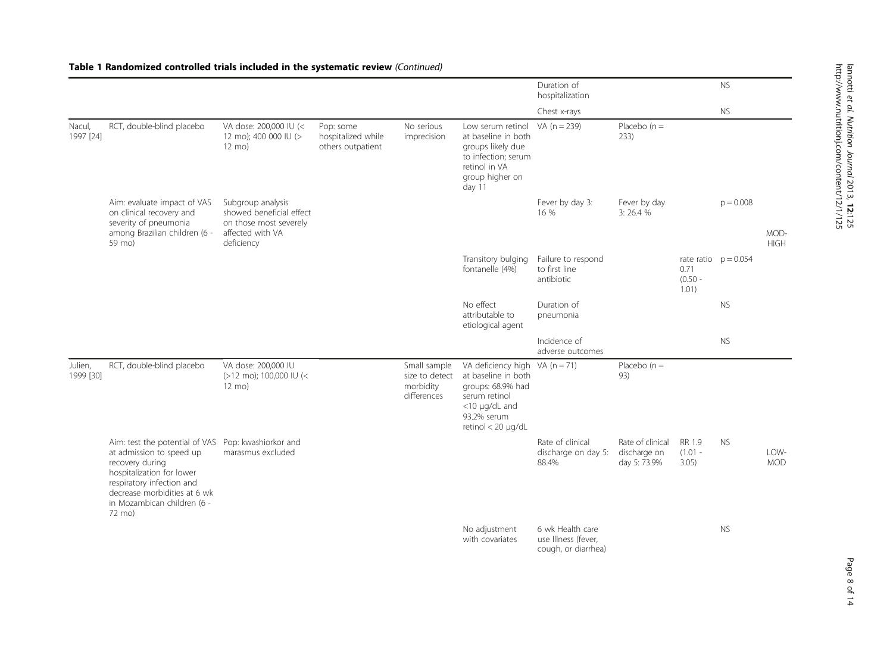|                      |                                                                                                                                                                                                                                       |                                                                                                           |                                                      |                                                            |                                                                                                                                                              | Duration of<br>hospitalization                                 |                                                  |                              | <b>NS</b>              |                     |
|----------------------|---------------------------------------------------------------------------------------------------------------------------------------------------------------------------------------------------------------------------------------|-----------------------------------------------------------------------------------------------------------|------------------------------------------------------|------------------------------------------------------------|--------------------------------------------------------------------------------------------------------------------------------------------------------------|----------------------------------------------------------------|--------------------------------------------------|------------------------------|------------------------|---------------------|
|                      |                                                                                                                                                                                                                                       |                                                                                                           |                                                      |                                                            |                                                                                                                                                              | Chest x-rays                                                   |                                                  |                              | <b>NS</b>              |                     |
| Nacul,<br>1997 [24]  | RCT, double-blind placebo                                                                                                                                                                                                             | VA dose: 200,000 IU (<<br>12 mo); 400 000 IU (><br>12 mo)                                                 | Pop: some<br>hospitalized while<br>others outpatient | No serious<br>imprecision                                  | Low serum retinol<br>at baseline in both<br>groups likely due<br>to infection; serum<br>retinol in VA<br>group higher on<br>day 11                           | VA $(n = 239)$                                                 | Placebo $(n =$<br>233)                           |                              |                        |                     |
|                      | Aim: evaluate impact of VAS<br>on clinical recovery and<br>severity of pneumonia<br>among Brazilian children (6 -<br>59 mo)                                                                                                           | Subgroup analysis<br>showed beneficial effect<br>on those most severely<br>affected with VA<br>deficiency |                                                      |                                                            |                                                                                                                                                              | Fever by day 3:<br>16 %                                        | Fever by day<br>3:26.4%                          |                              | $p = 0.008$            | MOD-<br><b>HIGH</b> |
|                      |                                                                                                                                                                                                                                       |                                                                                                           |                                                      |                                                            | Transitory bulging<br>fontanelle (4%)                                                                                                                        | Failure to respond<br>to first line<br>antibiotic              |                                                  | 0.71<br>$(0.50 -$<br>1.01)   | rate ratio $p = 0.054$ |                     |
|                      |                                                                                                                                                                                                                                       |                                                                                                           |                                                      |                                                            | No effect<br>attributable to<br>etiological agent                                                                                                            | Duration of<br>pneumonia                                       |                                                  |                              | <b>NS</b>              |                     |
|                      |                                                                                                                                                                                                                                       |                                                                                                           |                                                      |                                                            |                                                                                                                                                              | Incidence of<br>adverse outcomes                               |                                                  |                              | <b>NS</b>              |                     |
| Julien,<br>1999 [30] | RCT, double-blind placebo                                                                                                                                                                                                             | VA dose: 200,000 IU<br>(>12 mo); 100,000 IU (<<br>$12 \text{ mol}$                                        |                                                      | Small sample<br>size to detect<br>morbidity<br>differences | VA deficiency high VA ( $n = 71$ )<br>at baseline in both<br>groups: 68.9% had<br>serum retinol<br><10 µg/dL and<br>93.2% serum<br>retinol $<$ 20 $\mu$ g/dL |                                                                | Placebo $(n =$<br>93)                            |                              |                        |                     |
|                      | Aim: test the potential of VAS Pop: kwashiorkor and<br>at admission to speed up<br>recovery during<br>hospitalization for lower<br>respiratory infection and<br>decrease morbidities at 6 wk<br>in Mozambican children (6 -<br>72 mo) | marasmus excluded                                                                                         |                                                      |                                                            |                                                                                                                                                              | Rate of clinical<br>discharge on day 5:<br>88.4%               | Rate of clinical<br>discharge on<br>day 5: 73.9% | RR 1.9<br>$(1.01 -$<br>3.05) | <b>NS</b>              | LOW-<br><b>MOD</b>  |
|                      |                                                                                                                                                                                                                                       |                                                                                                           |                                                      |                                                            | No adjustment<br>with covariates                                                                                                                             | 6 wk Health care<br>use Illness (fever,<br>cough, or diarrhea) |                                                  |                              | <b>NS</b>              |                     |

Table 1 Randomized controlled trials included in the systematic review (Continued)

<u>ีลี</u> :125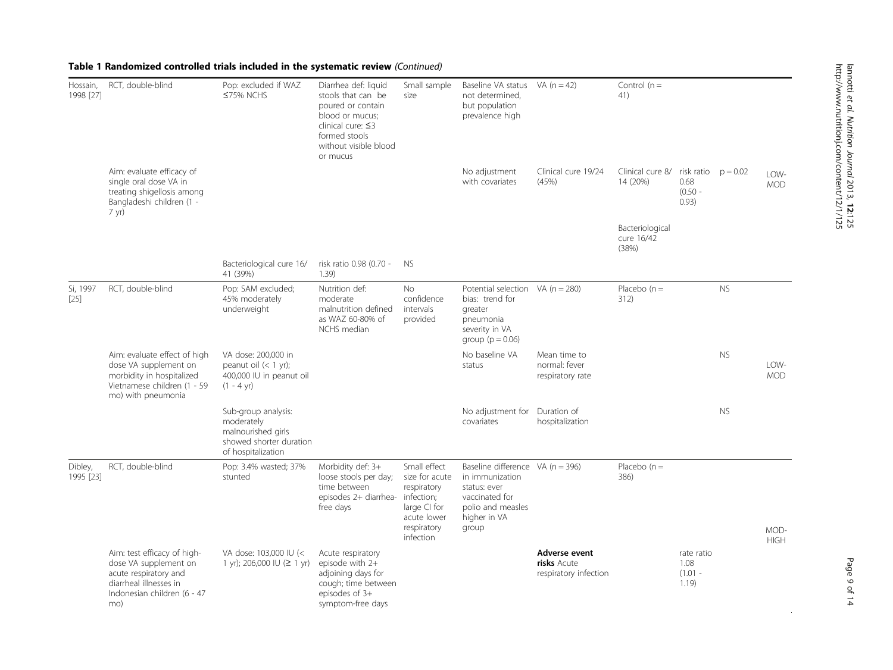| Hossain,<br>1998 [27] | RCT, double-blind                                                                                                                       | Pop: excluded if WAZ<br>≤75% NCHS                                                                        | Diarrhea def: liquid<br>stools that can be<br>poured or contain<br>blood or mucus;<br>clinical cure: ≤3<br>formed stools<br>without visible blood<br>or mucus | Small sample<br>size                                                                                                   | Baseline VA status<br>not determined,<br>but population<br>prevalence high                                                            | VA (n = 42)                                           | Control $(n =$<br>41)                  |                                                     |           |                     |
|-----------------------|-----------------------------------------------------------------------------------------------------------------------------------------|----------------------------------------------------------------------------------------------------------|---------------------------------------------------------------------------------------------------------------------------------------------------------------|------------------------------------------------------------------------------------------------------------------------|---------------------------------------------------------------------------------------------------------------------------------------|-------------------------------------------------------|----------------------------------------|-----------------------------------------------------|-----------|---------------------|
|                       | Aim: evaluate efficacy of<br>single oral dose VA in<br>treating shigellosis among<br>Bangladeshi children (1 -<br>7 yr)                 |                                                                                                          |                                                                                                                                                               |                                                                                                                        | No adjustment<br>with covariates                                                                                                      | Clinical cure 19/24<br>(45%)                          | Clinical cure 8/<br>14 (20%)           | risk ratio $p = 0.02$<br>0.68<br>$(0.50 -$<br>0.93) |           | I OW-<br><b>MOD</b> |
|                       |                                                                                                                                         |                                                                                                          |                                                                                                                                                               |                                                                                                                        |                                                                                                                                       |                                                       | Bacteriological<br>cure 16/42<br>(38%) |                                                     |           |                     |
|                       |                                                                                                                                         | Bacteriological cure 16/<br>41 (39%)                                                                     | risk ratio 0.98 (0.70 -<br>1.39                                                                                                                               | NS.                                                                                                                    |                                                                                                                                       |                                                       |                                        |                                                     |           |                     |
| Si, 1997<br>$[25]$    | RCT, double-blind                                                                                                                       | Pop: SAM excluded;<br>45% moderately<br>underweight                                                      | Nutrition def:<br>moderate<br>malnutrition defined<br>as WAZ 60-80% of<br>NCHS median                                                                         | <b>No</b><br>confidence<br>intervals<br>provided                                                                       | Potential selection VA ( $n = 280$ )<br>bias: trend for<br>greater<br>pneumonia<br>severity in VA<br>group ( $p = 0.06$ )             |                                                       | Placebo $(n =$<br>312)                 |                                                     | <b>NS</b> |                     |
|                       | Aim: evaluate effect of high<br>dose VA supplement on<br>morbidity in hospitalized<br>Vietnamese children (1 - 59<br>mo) with pneumonia | VA dose: 200,000 in<br>peanut oil $(< 1$ yr);<br>400,000 IU in peanut oil<br>$(1 - 4 \text{ yr})$        |                                                                                                                                                               |                                                                                                                        | No baseline VA<br>status                                                                                                              | Mean time to<br>normal: fever<br>respiratory rate     |                                        |                                                     | <b>NS</b> | LOW-<br><b>MOD</b>  |
|                       |                                                                                                                                         | Sub-group analysis:<br>moderately<br>malnourished girls<br>showed shorter duration<br>of hospitalization |                                                                                                                                                               |                                                                                                                        | No adjustment for<br>covariates                                                                                                       | Duration of<br>hospitalization                        |                                        |                                                     | <b>NS</b> |                     |
| Dibley,<br>1995 [23]  | RCT, double-blind                                                                                                                       | Pop: 3.4% wasted; 37%<br>stunted                                                                         | Morbidity def: 3+<br>loose stools per day;<br>time between<br>episodes 2+ diarrhea-<br>free days                                                              | Small effect<br>size for acute<br>respiratory<br>infection;<br>large CI for<br>acute lower<br>respiratory<br>infection | Baseline difference $VA (n = 396)$<br>in immunization<br>status: ever<br>vaccinated for<br>polio and measles<br>higher in VA<br>group |                                                       | Placebo $(n =$<br>386)                 |                                                     |           | MOD-<br><b>HIGH</b> |
|                       | Aim: test efficacy of high-<br>dose VA supplement on<br>acute respiratory and                                                           | VA dose: 103,000 IU (<<br>1 yr); 206,000 IU ( $\geq$ 1 yr)                                               | Acute respiratory<br>episode with 2+<br>adjoining days for                                                                                                    |                                                                                                                        |                                                                                                                                       | Adverse event<br>risks Acute<br>respiratory infection |                                        | rate ratio<br>1.08<br>$(1.01 -$                     |           |                     |

cough; time between episodes of 3+ symptom-free days

# Table 1 Randomized controlled trials included in the systematic review (Continued)

1998 [[27](#page-13-0)]

 $[25]$ 

Dibley, 1995 [[23](#page-13-0)]

> diarrheal illnesses in Indonesian children (6 - 47

mo)

1.19)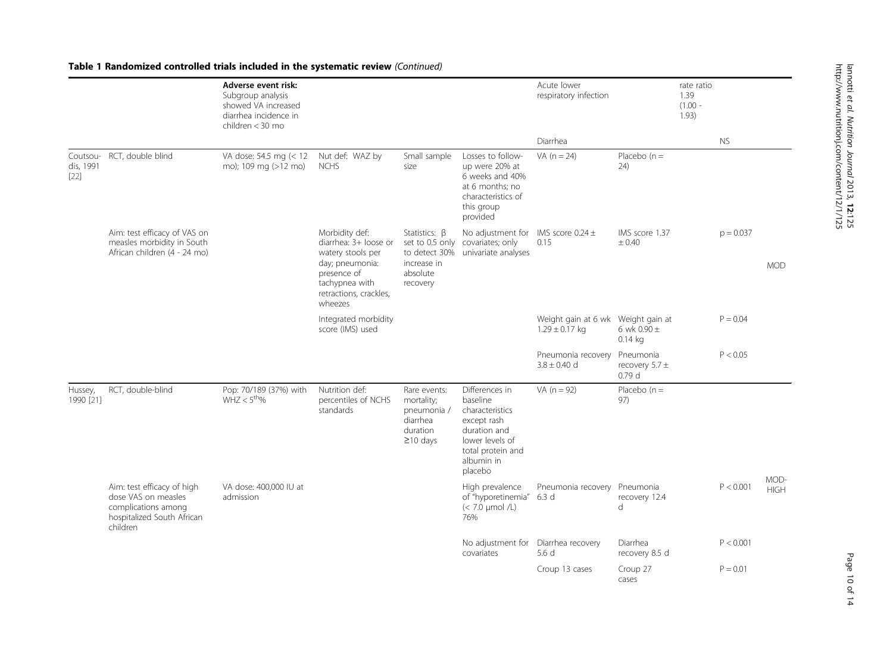#### Adverse event risk: Subgroup analysis showed VA increased diarrhea incidence in children < 30 mo Acute lower respiratory infection rate ratio 1.39 (1.00 - 1.93) Diarrhea NS Coutsou- RCT, double blind dis, 1991 [\[22\]](#page-13-0) RCT, double blind VA dose: 54.5 mg (< 12 Nut def: WAZ by mo); 109 mg (>12 mo) NCHS Small sample size Losses to followup were 20% at 6 weeks and 40% at 6 months; no characteristics of this group provided VA  $(n = 24)$  Placebo  $(n = 1)$ 24) MOD Aim: test efficacy of VAS on measles morbidity in South African children (4 - 24 mo) Morbidity def: diarrhea: 3+ loose or watery stools per day; pneumonia: presence of tachypnea with retractions, crackles, wheezes Statistics: β set to 0.5 only covariates; only to detect 30% univariate analyses increase in absolute recovery No adjustment for  $\,$  IMS score 0.24  $\pm$ 0.15 IMS score 1.37  $+0.40$  $p = 0.037$ Integrated morbidity score (IMS) used Weight gain at 6 wk Weight gain at  $1.29 \pm 0.17$  kg 6 wk  $0.90 \pm$ 0.14 kg  $P = 0.04$ Pneumonia recovery  $3.8 + 0.40$  d Pneumonia recovery 5.7 ± 0.79 d  $P < 0.05$ Hussey. RCT, double-blind 1990 [[21](#page-13-0)] Pop: 70/189 (37%) with  $WHZ < 5^{\text{th}}$ % Nutrition def: percentiles of NCHS standards Rare events: mortality; pneumonia / diarrhea duration ≥10 days Differences in baseline characteristics except rash duration and lower levels of total protein and albumin in placebo VA  $(n = 92)$  Placebo  $(n = 1)$ 97) MOD-<br>HIGH Aim: test efficacy of high MA UA dose: 400,000 IU at the contract the contract of the Preumonia recovery Pneumonia recovery Pneumonia terms and the P < 0.001 HIGH dose VAS on measles complications among hospitalized South African children VA dose: 400,000 IU at admission High prevalence of "hyporetinemia" 6.3 d  $(< 7.0 \text{ }\mu\text{mol}/L)$ 76% recovery 12.4 d  $P < 0.001$ No adjustment for Diarrhea recovery covariates 5.6 d Diarrhea recovery 8.5 d  $P < 0.001$ Croup 13 cases Croup 27 cases  $P = 0.01$

#### Table 1 Randomized controlled trials included in the systematic review (Continued)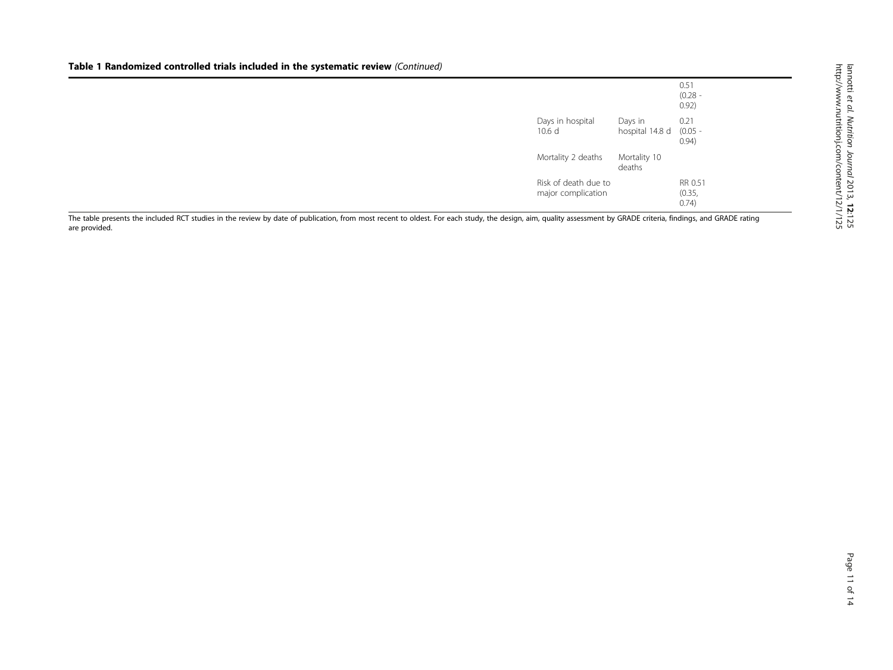# Table 1 Randomized controlled trials included in the systematic review (Continued)

|                                            |                            | 0.51<br>$(0.28 -$<br>0.92)  |
|--------------------------------------------|----------------------------|-----------------------------|
| Days in hospital<br>10.6 <sub>d</sub>      | Days in<br>hospital 14.8 d | 0.21<br>$(0.05 -$<br>(0.94) |
| Mortality 2 deaths                         | Mortality 10<br>deaths     |                             |
| Risk of death due to<br>major complication |                            | RR 0.51<br>(0.35,<br>(0.74) |

The table presents the included RCT studies in the review by date of publication, from most recent to oldest. For each study, the design, aim, quality assessment by GRADE criteria, findings, and GRADE rating are provided.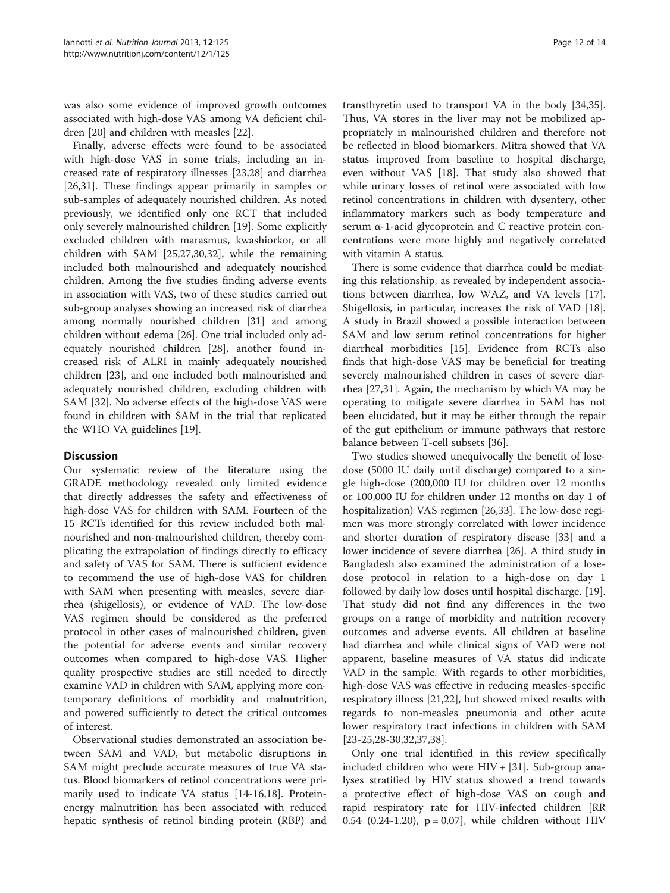was also some evidence of improved growth outcomes associated with high-dose VAS among VA deficient children [[20](#page-13-0)] and children with measles [\[22](#page-13-0)].

Finally, adverse effects were found to be associated with high-dose VAS in some trials, including an increased rate of respiratory illnesses [[23,28](#page-13-0)] and diarrhea [[26,31\]](#page-13-0). These findings appear primarily in samples or sub-samples of adequately nourished children. As noted previously, we identified only one RCT that included only severely malnourished children [\[19](#page-13-0)]. Some explicitly excluded children with marasmus, kwashiorkor, or all children with SAM [\[25,27,30,32\]](#page-13-0), while the remaining included both malnourished and adequately nourished children. Among the five studies finding adverse events in association with VAS, two of these studies carried out sub-group analyses showing an increased risk of diarrhea among normally nourished children [[31](#page-13-0)] and among children without edema [[26](#page-13-0)]. One trial included only adequately nourished children [\[28](#page-13-0)], another found increased risk of ALRI in mainly adequately nourished children [\[23](#page-13-0)], and one included both malnourished and adequately nourished children, excluding children with SAM [\[32\]](#page-13-0). No adverse effects of the high-dose VAS were found in children with SAM in the trial that replicated the WHO VA guidelines [[19](#page-13-0)].

# **Discussion**

Our systematic review of the literature using the GRADE methodology revealed only limited evidence that directly addresses the safety and effectiveness of high-dose VAS for children with SAM. Fourteen of the 15 RCTs identified for this review included both malnourished and non-malnourished children, thereby complicating the extrapolation of findings directly to efficacy and safety of VAS for SAM. There is sufficient evidence to recommend the use of high-dose VAS for children with SAM when presenting with measles, severe diarrhea (shigellosis), or evidence of VAD. The low-dose VAS regimen should be considered as the preferred protocol in other cases of malnourished children, given the potential for adverse events and similar recovery outcomes when compared to high-dose VAS. Higher quality prospective studies are still needed to directly examine VAD in children with SAM, applying more contemporary definitions of morbidity and malnutrition, and powered sufficiently to detect the critical outcomes of interest.

Observational studies demonstrated an association between SAM and VAD, but metabolic disruptions in SAM might preclude accurate measures of true VA status. Blood biomarkers of retinol concentrations were primarily used to indicate VA status [[14](#page-13-0)-[16,18\]](#page-13-0). Proteinenergy malnutrition has been associated with reduced hepatic synthesis of retinol binding protein (RBP) and

transthyretin used to transport VA in the body [\[34,35](#page-13-0)]. Thus, VA stores in the liver may not be mobilized appropriately in malnourished children and therefore not be reflected in blood biomarkers. Mitra showed that VA status improved from baseline to hospital discharge, even without VAS [[18](#page-13-0)]. That study also showed that while urinary losses of retinol were associated with low retinol concentrations in children with dysentery, other inflammatory markers such as body temperature and serum α-1-acid glycoprotein and C reactive protein concentrations were more highly and negatively correlated with vitamin A status.

There is some evidence that diarrhea could be mediating this relationship, as revealed by independent associations between diarrhea, low WAZ, and VA levels [\[17](#page-13-0)]. Shigellosis, in particular, increases the risk of VAD [\[18](#page-13-0)]. A study in Brazil showed a possible interaction between SAM and low serum retinol concentrations for higher diarrheal morbidities [\[15](#page-13-0)]. Evidence from RCTs also finds that high-dose VAS may be beneficial for treating severely malnourished children in cases of severe diarrhea [[27,31](#page-13-0)]. Again, the mechanism by which VA may be operating to mitigate severe diarrhea in SAM has not been elucidated, but it may be either through the repair of the gut epithelium or immune pathways that restore balance between T-cell subsets [\[36\]](#page-13-0).

Two studies showed unequivocally the benefit of losedose (5000 IU daily until discharge) compared to a single high-dose (200,000 IU for children over 12 months or 100,000 IU for children under 12 months on day 1 of hospitalization) VAS regimen [\[26,33\]](#page-13-0). The low-dose regimen was more strongly correlated with lower incidence and shorter duration of respiratory disease [[33](#page-13-0)] and a lower incidence of severe diarrhea [\[26\]](#page-13-0). A third study in Bangladesh also examined the administration of a losedose protocol in relation to a high-dose on day 1 followed by daily low doses until hospital discharge. [\[19](#page-13-0)]. That study did not find any differences in the two groups on a range of morbidity and nutrition recovery outcomes and adverse events. All children at baseline had diarrhea and while clinical signs of VAD were not apparent, baseline measures of VA status did indicate VAD in the sample. With regards to other morbidities, high-dose VAS was effective in reducing measles-specific respiratory illness [[21,22\]](#page-13-0), but showed mixed results with regards to non-measles pneumonia and other acute lower respiratory tract infections in children with SAM [[23-25,28](#page-13-0)-[30](#page-13-0),[32](#page-13-0),[37](#page-13-0),[38](#page-13-0)].

Only one trial identified in this review specifically included children who were HIV + [\[31\]](#page-13-0). Sub-group analyses stratified by HIV status showed a trend towards a protective effect of high-dose VAS on cough and rapid respiratory rate for HIV-infected children [RR 0.54 (0.24-1.20),  $p = 0.07$ , while children without HIV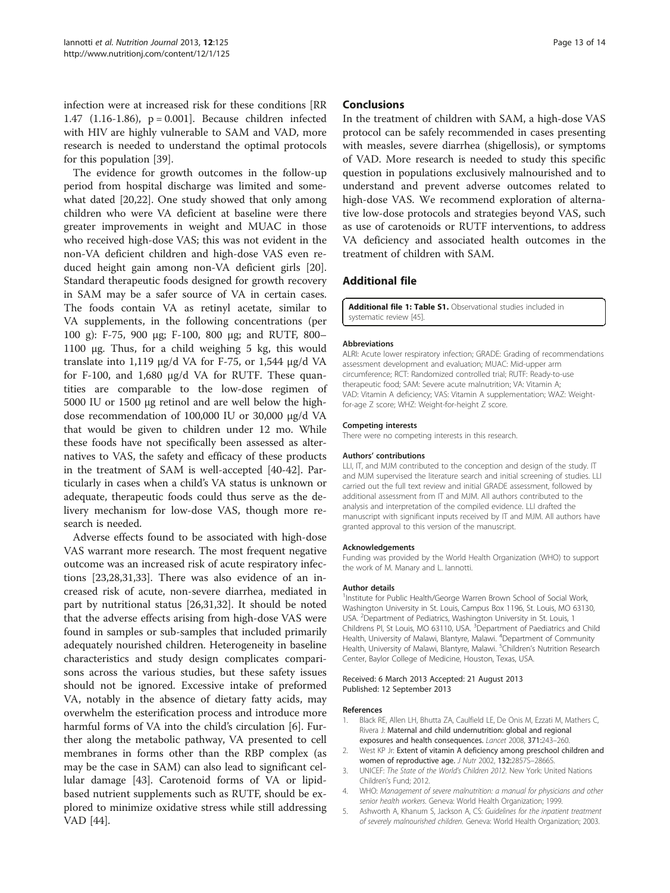<span id="page-12-0"></span>infection were at increased risk for these conditions [RR 1.47 (1.16-1.86), p = 0.001]. Because children infected with HIV are highly vulnerable to SAM and VAD, more research is needed to understand the optimal protocols for this population [\[39](#page-13-0)].

The evidence for growth outcomes in the follow-up period from hospital discharge was limited and somewhat dated [[20,22](#page-13-0)]. One study showed that only among children who were VA deficient at baseline were there greater improvements in weight and MUAC in those who received high-dose VAS; this was not evident in the non-VA deficient children and high-dose VAS even reduced height gain among non-VA deficient girls [\[20](#page-13-0)]. Standard therapeutic foods designed for growth recovery in SAM may be a safer source of VA in certain cases. The foods contain VA as retinyl acetate, similar to VA supplements, in the following concentrations (per 100 g): F-75, 900 μg; F-100, 800 μg; and RUTF, 800– 1100 μg. Thus, for a child weighing 5 kg, this would translate into 1,119 μg/d VA for F-75, or 1,544 μg/d VA for F-100, and 1,680 μg/d VA for RUTF. These quantities are comparable to the low-dose regimen of 5000 IU or 1500 μg retinol and are well below the highdose recommendation of 100,000 IU or 30,000 μg/d VA that would be given to children under 12 mo. While these foods have not specifically been assessed as alternatives to VAS, the safety and efficacy of these products in the treatment of SAM is well-accepted [[40-42](#page-13-0)]. Particularly in cases when a child's VA status is unknown or adequate, therapeutic foods could thus serve as the delivery mechanism for low-dose VAS, though more research is needed.

Adverse effects found to be associated with high-dose VAS warrant more research. The most frequent negative outcome was an increased risk of acute respiratory infections [[23,28,31,33\]](#page-13-0). There was also evidence of an increased risk of acute, non-severe diarrhea, mediated in part by nutritional status [[26,31,32\]](#page-13-0). It should be noted that the adverse effects arising from high-dose VAS were found in samples or sub-samples that included primarily adequately nourished children. Heterogeneity in baseline characteristics and study design complicates comparisons across the various studies, but these safety issues should not be ignored. Excessive intake of preformed VA, notably in the absence of dietary fatty acids, may overwhelm the esterification process and introduce more harmful forms of VA into the child's circulation [[6\]](#page-13-0). Further along the metabolic pathway, VA presented to cell membranes in forms other than the RBP complex (as may be the case in SAM) can also lead to significant cellular damage [[43\]](#page-13-0). Carotenoid forms of VA or lipidbased nutrient supplements such as RUTF, should be explored to minimize oxidative stress while still addressing VAD [[44\]](#page-13-0).

## Conclusions

In the treatment of children with SAM, a high-dose VAS protocol can be safely recommended in cases presenting with measles, severe diarrhea (shigellosis), or symptoms of VAD. More research is needed to study this specific question in populations exclusively malnourished and to understand and prevent adverse outcomes related to high-dose VAS. We recommend exploration of alternative low-dose protocols and strategies beyond VAS, such as use of carotenoids or RUTF interventions, to address VA deficiency and associated health outcomes in the treatment of children with SAM.

# Additional file

[Additional file 1: Table S1.](http://www.biomedcentral.com/content/supplementary/1475-2891-12-125-S1.doc) Observational studies included in systematic review [\[45\]](#page-13-0).

#### Abbreviations

ALRI: Acute lower respiratory infection; GRADE: Grading of recommendations assessment development and evaluation; MUAC: Mid-upper arm circumference; RCT: Randomized controlled trial; RUTF: Ready-to-use therapeutic food; SAM: Severe acute malnutrition; VA: Vitamin A; VAD: Vitamin A deficiency; VAS: Vitamin A supplementation; WAZ: Weightfor-age Z score; WHZ: Weight-for-height Z score.

#### Competing interests

There were no competing interests in this research.

#### Authors' contributions

LLI, IT, and MJM contributed to the conception and design of the study. IT and MJM supervised the literature search and initial screening of studies. LLI carried out the full text review and initial GRADE assessment, followed by additional assessment from IT and MJM. All authors contributed to the analysis and interpretation of the compiled evidence. LLI drafted the manuscript with significant inputs received by IT and MJM. All authors have granted approval to this version of the manuscript.

#### Acknowledgements

Funding was provided by the World Health Organization (WHO) to support the work of M. Manary and L. Iannotti.

#### Author details

<sup>1</sup>Institute for Public Health/George Warren Brown School of Social Work Washington University in St. Louis, Campus Box 1196, St. Louis, MO 63130, USA. <sup>2</sup> Department of Pediatrics, Washington University in St. Louis, 1 Childrens Pl, St Louis, MO 63110, USA. <sup>3</sup> Department of Paediatrics and Child Health, University of Malawi, Blantyre, Malawi. <sup>4</sup>Department of Community Health, University of Malawi, Blantyre, Malawi. <sup>5</sup>Children's Nutrition Research Center, Baylor College of Medicine, Houston, Texas, USA.

Received: 6 March 2013 Accepted: 21 August 2013 Published: 12 September 2013

#### References

- 1. Black RE, Allen LH, Bhutta ZA, Caulfield LE, De Onis M, Ezzati M, Mathers C, Rivera J: Maternal and child undernutrition: global and regional exposures and health consequences. Lancet 2008, 371:243–260.
- 2. West KP Jr: Extent of vitamin A deficiency among preschool children and women of reproductive age. J Nutr 2002, 132:2857S-2866S.
- 3. UNICEF: The State of the World's Children 2012. New York: United Nations Children's Fund; 2012.
- 4. WHO: Management of severe malnutrition: a manual for physicians and other senior health workers. Geneva: World Health Organization; 1999.
- 5. Ashworth A, Khanum S, Jackson A, CS: Guidelines for the inpatient treatment of severely malnourished children. Geneva: World Health Organization; 2003.